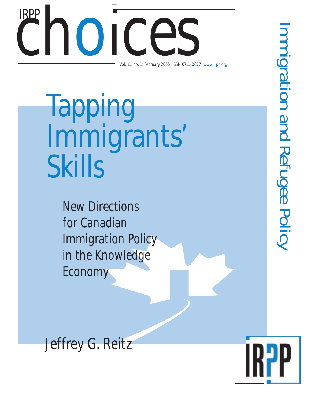# Choice Ces Vol. 11, no. 1, February 2005 ISSN 0711-0677 www.irpp.org IRPP

Tapping Immigrants' **Skills** 

> New Directions for Canadian Immigration Policy in the Knowledge Economy

Immigration and Refugee Policy mmigration and Refugee Policy

Jeffrey G. Reitz

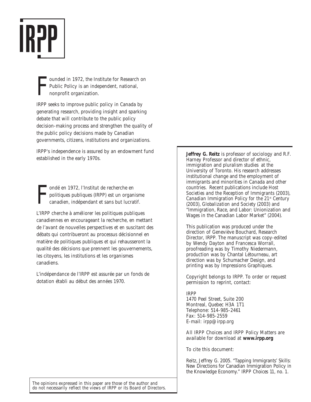

F ounded in 1972, the Institute for Research on Public Policy is an independent, national, nonprofit organization.

IRPP seeks to improve public policy in Canada by generating research, providing insight and sparking debate that will contribute to the public policy decision-making process and strengthen the quality of the public policy decisions made by Canadian governments, citizens, institutions and organizations.

IRPP's independence is assured by an endowment fund established in the early 1970s.

F ondé en 1972, l'Institut de recherche en politiques publiques (IRPP) est un organisme canadien, indépendant et sans but lucratif.

L'IRPP cherche à améliorer les politiques publiques canadiennes en encourageant la recherche, en mettant de l'avant de nouvelles perspectives et en suscitant des débats qui contribueront au processus décisionnel en matière de politiques publiques et qui rehausseront la qualité des décisions que prennent les gouvernements, les citoyens, les institutions et les organismes canadiens.

L'indépendance de l'IRPP est assurée par un fonds de dotation établi au début des années 1970.

**Jeffrey G. Reitz** is professor of sociology and R.F. Harney Professor and director of ethnic, immigration and pluralism studies at the University of Toronto. His research addresses institutional change and the employment of immigrants and minorities in Canada and other countries. Recent publications include *Host Societies and the Reception of Immigrants* (2003), *Canadian Immigration Policy for the 21st Century* (2003), *Globalization and Society* (2003) and "Immigration, Race, and Labor: Unionization and Wages in the Canadian Labor Market" (2004).

This publication was produced under the direction of Geneviève Bouchard, Research Director, IRPP. The manuscript was copy-edited by Wendy Dayton and Francesca Worrall, proofreading was by Timothy Niedermann, production was by Chantal Létourneau, art direction was by Schumacher Design, and printing was by Impressions Graphiques.

Copyright belongs to IRPP. To order or request permission to reprint, contact:

#### IRPP 1470 Peel Street, Suite 200 Montreal, Quebec H3A 1T1 Telephone: 514-985-2461 Fax: 514-985-2559 E-mail: irpp@irpp.org

All *IRPP Choices* and *IRPP Policy Matters* are available for download at **www.irpp.org**

To cite this document:

Reitz, Jeffrey G. 2005. "Tapping Immigrants' Skills: New Directions for Canadian Immigration Policy in the Knowledge Economy." *IRPP Choices* 11, no. 1.

The opinions expressed in this paper are those of the author and do not necessarily reflect the views of IRPP or its Board of Directors.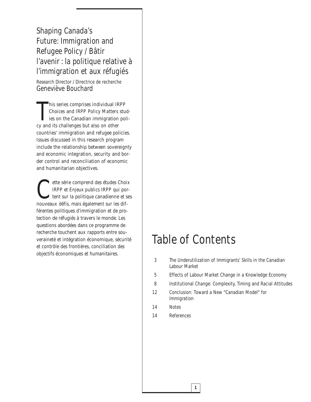Shaping Canada's Future: Immigration and Refugee Policy / Bâtir l'avenir : la politique relative à l'immigration et aux réfugiés

Research Director / Directrice de recherche Geneviève Bouchard

This series comprises individual IR<br>Choices and IRPP Policy Matters<br>ies on the Canadian immigration<br>cy and its challenges but also on other his series comprises individual *IRPP Choices* and *IRPP Policy Matters* studies on the Canadian immigration policountries' immigration and refugee policies. Issues discussed in this research program include the relationship between sovereignty and economic integration, security and border control and reconciliation of economic and humanitarian objectives.

ette série comprend des études *Choix*<br> *IRPP* et *Enjeux publics IRPP* qui portent sur la politique canadienne et se<br>
pouveaux défis mais également sur les dif-*IRPP* et *Enjeux publics IRPP* qui portent sur la politique canadienne et ses nouveaux défis, mais également sur les différentes politiques d'immigration et de protection de réfugiés à travers le monde. Les questions abordées dans ce programme de recherche touchent aux rapports entre souveraineté et intégration économique, sécurité et contrôle des frontières, conciliation des objectifs économiques et humanitaires.

## Table of Contents

- 3 The Underutilization of Immigrants' Skills in the Canadian Labour Market
- 5 Effects of Labour Market Change in a Knowledge Economy
- 8 Institutional Change: Complexity, Timing and Racial Attitudes
- 12 Conclusion: Toward a New "Canadian Model" for Immigration

- 14 Notes
- 14 References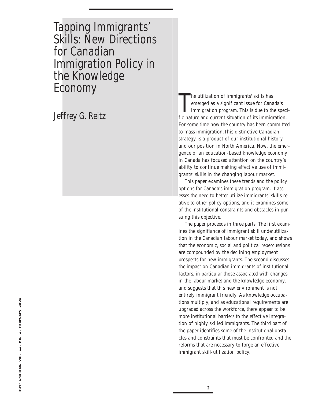Tapping Immigrants' Skills: New Directions for Canadian Immigration Policy in the Knowledge Economy

Jeffrey G. Reitz

The utilization of immigrants' skills has<br>emerged as a significant issue for Canada's<br>immigration program. This is due to the spec<br>fic nature and current situation of its immigration. he utilization of immigrants' skills has emerged as a significant issue for Canada's immigration program. This is due to the speci-For some time now the country has been committed to mass immigration.This distinctive Canadian strategy is a product of our institutional history and our position in North America. Now, the emergence of an education-based knowledge economy in Canada has focused attention on the country's ability to continue making effective use of immigrants' skills in the changing labour market.

This paper examines these trends and the policy options for Canada's immigration program. It assesses the need to better utilize immigrants' skills relative to other policy options, and it examines some of the institutional constraints and obstacles in pursuing this objective.

The paper proceeds in three parts. The first examines the signifiance of immigrant skill underutilization in the Canadian labour market today, and shows that the economic, social and political repercussions are compounded by the declining employment prospects for new immigrants. The second discusses the impact on Canadian immigrants of institutional factors, in particular those associated with changes in the labour market and the knowledge economy, and suggests that this new environment is not entirely immigrant friendly. As knowledge occupations multiply, and as educational requirements are upgraded across the workforce, there appear to be more institutional barriers to the effective integration of highly skilled immigrants. The third part of the paper identifies some of the institutional obstacles and constraints that must be confronted and the reforms that are necessary to forge an effective immigrant skill-utilization policy.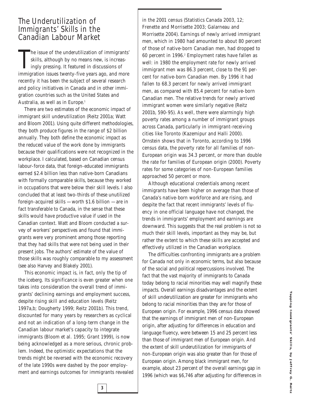#### The Underutilization of Immigrants' Skills in the Canadian Labour Market

In the issue of the underutilization of immigrants' skills, although by no means new, is increasingly pressing. It featured in discussions of immigration issues twenty-five years ago, and more he issue of the underutilization of immigrants' skills, although by no means new, is increasingly pressing. It featured in discussions of recently it has been the subject of several research and policy initiatives in Canada and in other immigration countries such as the United States and Australia, as well as in Europe.<sup>1</sup>

There are two estimates of the economic impact of immigrant skill underutilization (Reitz 2001a; Watt and Bloom 2001). Using quite different methodologies, they both produce figures in the range of \$2 billion annually. They both define the economic impact as the reduced value of the work done by immigrants because their qualifications were not recognized in the workplace. I calculated, based on Canadian census labour-force data, that foreign-educated immigrants earned \$2.4 billion less than native-born Canadians with formally comparable skills, because they worked in occupations that were below their skill levels. I also concluded that at least two-thirds of these unutilized foreign-acquired skills — worth \$1.6 billion — are in fact transferable to Canada, in the sense that these skills would have productive value if used in the Canadian context. Watt and Bloom conducted a survey of workers' perspectives and found that immigrants were very prominent among those reporting that they had skills that were not being used in their present jobs. The authors' estimate of the value of those skills was roughly comparable to my assessment (see also Harvey and Blakely 2001).

This economic impact is, in fact, only the tip of the iceberg. Its significance is even greater when one takes into consideration the overall trend of immigrants' declining earnings and employment success, despite rising skill and education levels (Reitz 1997a,b; Dougherty 1999; Reitz 2001b). This trend, discounted for many years by researchers as cyclical and not an indication of a long-term change in the Canadian labour market's capacity to integrate immigrants (Bloom et al*.* 1995; Grant 1999), is now being acknowledged as a more serious, chronic problem. Indeed, the optimistic expectations that the trends might be reversed with the economic recovery of the late 1990s were dashed by the poor employment and earnings outcomes for immigrants revealed

**3**

in the 2001 census (Statistics Canada 2003, 12; Frenette and Morrisette 2003; Galarneau and Morrisette 2004). Earnings of newly arrived immigrant men, which in 1980 had amounted to about 80 percent of those of native-born Canadian men, had dropped to 60 percent in 1996.2 Employment rates have fallen as well: in 1980 the employment rate for newly arrived immigrant men was 86.3 percent, close to the 91 percent for native-born Canadian men. By 1996 it had fallen to 68.3 percent for newly arrived immigrant men, as compared with 85.4 percent for native-born Canadian men. The relative trends for newly arrived immigrant women were similarly negative (Reitz 2001b, 590-95). As well, there were alarmingly high poverty rates among a number of immigrant groups across Canada, particularly in immigrant-receiving cities like Toronto (Kazemipur and Halli 2000). Ornstein shows that in Toronto, according to 1996 census data, the poverty rate for all families of non-European origin was 34.3 percent, or more than double the rate for families of European origin (2000). Poverty rates for some categories of non-European families approached 50 percent or more.

Although educational credentials among recent immigrants have been higher on average than those of Canada's native-born workforce and are rising, and despite the fact that recent immigrants' levels of fluency in one official language have not changed, the trends in immigrants' employment and earnings are downward. This suggests that the real problem is not so much their skill levels, important as they may be, but rather the extent to which these skills are accepted and effectively utilized in the Canadian workplace.

The difficulties confronting immigrants are a problem for Canada not only in economic terms, but also because of the social and political repercussions involved. The fact that the vast majority of immigrants to Canada today belong to racial minorities may well magnify these impacts. Overall earnings disadvantages and the extent of skill underutilization are greater for immigrants who belong to racial minorities than they are for those of European origin. For example, 1996 census data showed that the earnings of immigrant men of non-European origin, after adjusting for differences in education and language fluency, were between 15 and 25 percent less than those of immigrant men of European origin. And the extent of skill underutilization for immigrants of non-European origin was also greater than for those of European origin. Among black immigrant men, for example, about 23 percent of the overall earnings gap in 1996 (which was \$6,746 after adjusting for differences in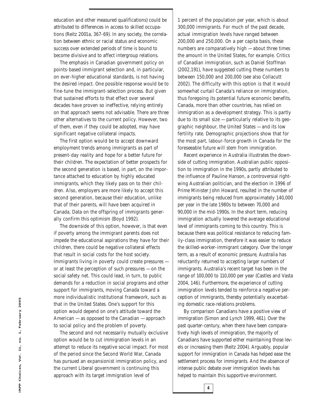education and other measured qualifications) could be attributed to differences in access to skilled occupations (Reitz 2001a, 367-69). In any society, the correlation between ethnic or racial status and economic success over extended periods of time is bound to become divisive and to affect intergroup relations.

The emphasis in Canadian government policy on points-based immigrant selection and, in particular, on ever-higher educational standards, is not having the desired impact. One possible response would be to fine-tune the immigrant-selection process. But given that sustained efforts to that effect over several decades have proven so ineffective, relying entirely on that approach seems not advisable. There are three other alternatives to the current policy. However, two of them, even if they could be adopted, may have significant negative collateral impacts.

The first option would be to accept downward employment trends among immigrants as part of present-day reality and hope for a better future for their children. The expectation of better prospects for the second generation is based, in part, on the importance attached to education by highly educated immigrants, which they likely pass on to their children. Also, employers are more likely to accept this second generation, because their education, unlike that of their parents, will have been acquired in Canada. Data on the offspring of immigrants generally confirm this optimism (Boyd 1992).

The downside of this option, however, is that even if poverty among the immigrant parents does not impede the educational aspirations they have for their children, there could be negative collateral effects that result in social costs for the host society. Immigrants living in poverty could create pressures or at least the perception of such pressures — on the social safety net. This could lead, in turn, to public demands for a reduction in social programs and other support for immigrants, moving Canada toward a more individualistic institutional framework, such as that in the United States. One's support for this option would depend on one's attitude toward the American — as opposed to the Canadian — approach to social policy and the problem of poverty.

The second and not necessarily mutually exclusive option would be to cut immigration levels in an attempt to reduce its negative social impact. For most of the period since the Second World War, Canada has pursued an expansionist immigration policy, and the current Liberal government is continuing this approach with its target immigration level of

1 percent of the population per year, which is about 300,000 immigrants. For much of the past decade, actual immigration levels have ranged between 200,000 and 250,000. On a per capita basis, these numbers are comparatively high — about three times the amount in the United States, for example. Critics of Canadian immigration, such as Daniel Stoffman (2002,191), have suggested cutting these numbers to between 150,000 and 200,000 (see also Collacutt 2002). The difficulty with this option is that it would somewhat curtail Canada's reliance on immigration, thus foregoing its potential future economic benefits. Canada, more than other countries, has relied on immigration as a development strategy. This is partly due to its small size — particularly relative to its geographic neighbour, the United States — and its low fertility rate. Demographic projections show that for the most part, labour-force growth in Canada for the foreseeable future will stem from immigration.

Recent experience in Australia illustrates the downside of cutting immigration. Australian public opposition to immigration in the 1990s, partly attributed to the influence of Pauline Hanson, a controversial rightwing Australian politician, and the election in 1996 of Prime Minister John Howard, resulted in the number of immigrants being reduced from approximately 140,000 per year in the late 1980s to between 70,000 and 90,000 in the mid-1990s. In the short term, reducing immigration actually lowered the average educational level of immigrants coming to this country. This is because there was political resistance to reducing family-class immigration, therefore it was easier to reduce the skilled-worker-immigrant category. Over the longer term, as a result of economic pressure, Australia has reluctantly returned to accepting larger numbers of immigrants. Australia's recent target has been in the range of 100,000 to 110,000 per year (Castles and Vasta 2004, 146). Furthermore, the experience of cutting immigration levels tended to reinforce a negative perception of immigrants, thereby potentially exacerbating domestic race-relations problems.

By comparison Canadians have a positive view of immigration (Simon and Lynch 1999, 461). Over the past quarter-century, when there have been comparatively high levels of immigration, the majority of Canadians have supported either maintaining those levels or increasing them (Reitz 2004). Arguably, popular support for immigration in Canada has helped ease the settlement process for immigrants. And the absence of intense public debate over immigration levels has helped to maintain this supportive environment.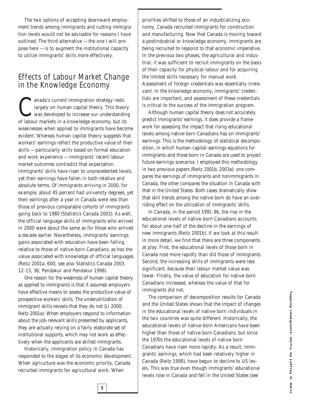The two options of accepting downward employment trends among immigrants and cutting immigration levels would not be advisable for reasons I have outlined. The third alternative — the one I will propose here  $-$  is to augment the institutional capacity to utilize immigrants' skills more effectively.

#### Effects of Labour Market Change in the Knowledge Economy

anada's current immigration strategy rests<br>largely on human capital theory. This theory<br>was developed to increase our understand<br>of labour markets in a knowledge economy, but it largely on human capital theory. This theory was developed to increase our understanding of labour markets in a knowledge economy, but its weaknesses when applied to immigrants have become evident. Whereas human capital theory suggests that workers' earnings reflect the productive value of their skills — particularly skills based on formal education and work experience — immigrants' recent labour market outcomes contradict that expectation. Immigrants' skills have risen to unprecedented levels, yet their earnings have fallen in both relative and absolute terms. Of immigrants arriving in 2000, for example, about 45 percent had university degrees, yet their earnings after a year in Canada were less than those of previous comparable cohorts of immigrants going back to 1980 (Statistics Canada 2003). As well, the official language skills of immigrants who arrived in 2000 were about the same as for those who arrived a decade earlier. Nevertheless, immigrants' earnings gains associated with education have been falling relative to those of native-born Canadians, as has the value associated with knowledge of official languages (Reitz 2001a, 600; see also Statistics Canada 2003, 12-13, 36; Pendakur and Pendakur 1998).

One reason for the weakness of human capital theory as applied to immigrants is that it assumes employers have effective means to assess the productive value of prospective workers' skills. The underutilization of immigrant skills reveals that they do not (Li 2000; Reitz 2001a). When employers respond to information about the job-relevant skills presented by applicants, they are actually relying on a fairly elaborate set of institutional supports, which may not work as effectively when the applicants are skilled immigrants.

Historically, immigration policy in Canada has responded to the stages of its economic development. When agriculture was the economic priority, Canada recruited immigrants for agricultural work. When

**5**

priorities shifted to those of an industrializing economy, Canada recruited immigrants for construction and manufacturing. Now that Canada is moving toward a postindustrial or knowledge economy, immigrants are being recruited to respond to that economic imperative. In the previous two phases, the agricultural and industrial, it was sufficient to recruit immigrants on the basis of their capacity for physical labour and for acquiring the limited skills necessary for manual work. Assessment of foreign credentials was essentially irrelevant. In the knowledge economy, immigrants' credentials are important, and assessment of these credentials is critical to the success of the immigration program.

Although human capital theory does not accurately predict immigrants' earnings, it does provide a framework for assessing the impact that rising educational levels among native-born Canadians has on immigrants' earnings. This is the methodology of statistical decomposition, in which human-capital-earnings equations for immigrants and those born in Canada are used to project future earnings scenarios. I employed this methodology in two previous papers (Reitz 2001b, 2003a): one compares the earnings of immigrants and nonimmigrants in Canada, the other compares the situation in Canada with that in the United States. Both cases dramatically show that skill trends among the native-born do have an overriding effect on the utilization of immigrants' skills.

In Canada, in the period 1991-96, the rise in the educational levels of native-born Canadians accounts for about one-half of the decline in the earnings of new immigrants (Reitz 2001b). If we look at this result in more detail, we find that there are three components at play. First, the educational levels of those born in Canada rose more rapidly than did those of immigrants. Second, the increasing skills of immigrants were less significant, because their labour market value was lower. Finally, the value of education for native-born Canadians increased, whereas the value of that for immigrants did not.

The comparison of decomposition results for Canada and the United States shows that the impact of changes in the educational levels of native-born individuals in the two countries was quite different. Historically, the educational levels of native-born Americans have been higher than those of native-born Canadians, but since the 1970s the educational levels of native-born Canadians have risen more rapidly. As a result, immigrants' earnings, which had been relatively higher in Canada (Reitz 1998), have begun to decline to US levels. This was true even though immigrants' educational levels rose in Canada and fell in the United States (see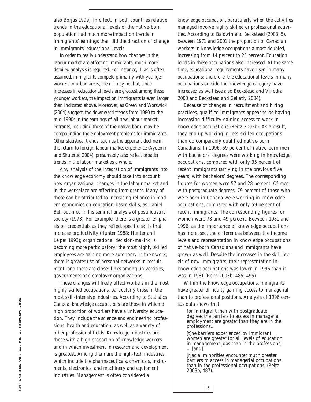also Borjas 1999). In effect, in both countries relative trends in the educational levels of the native-born population had much more impact on trends in immigrants' earnings than did the direction of change in immigrants' educational levels.

In order to really understand how changes in the labour market are affecting immigrants, much more detailed analysis is required. For instance, if, as is often assumed, immigrants compete primarily with younger workers in urban areas, then it may be that, since increases in educational levels are greatest among these younger workers, the impact on immigrants is even larger than indicated above. Moreover, as Green and Worswick (2004) suggest, the downward trends from 1980 to the mid-1990s in the earnings of all new labour market entrants, including those of the native-born, may be compounding the employment problems for immigrants. Other statistical trends, such as the apparent decline in the return to foreign labour market experience (Aydemir and Skuterud 2004), presumably also reflect broader trends in the labour market as a whole.

Any analysis of the integration of immigrants into the knowledge economy should take into account how organizational changes in the labour market and in the workplace are affecting immigrants. Many of these can be attributed to increasing reliance in modern economies on education-based skills, as Daniel Bell outlined in his seminal analysis of postindustrial society (1973). For example, there is a greater emphasis on credentials as they reflect specific skills that increase productivity (Hunter 1988; Hunter and Leiper 1993); organizational decision-making is becoming more participatory; the most highly skilled employees are gaining more autonomy in their work; there is greater use of personal networks in recruitment; and there are closer links among universities, governments and employer organizations.

These changes will likely affect workers in the most highly skilled occupations, particularly those in the most skill-intensive industries. According to Statistics Canada, *knowledge occupations* are those in which a high proportion of workers have a university education. They include the science and engineering professions, health and education, as well as a variety of other professional fields. *Knowledge industries* are those with a high proportion of knowledge workers and in which investment in research and development is greatest. Among them are the high-tech industries, which include the pharmaceuticals, chemicals, instruments, electronics, and machinery and equipment industries. Management is often considered a

knowledge occupation, particularly when the activities managed involve highly skilled or professional activities. According to Baldwin and Beckstead (2003, 5), between 1971 and 2001 the proportion of Canadian workers in knowledge occupations almost doubled, increasing from 14 percent to 25 percent. Education levels in these occupations also increased. At the same time, educational requirements have risen in many occupations; therefore, the educational levels in many occupations outside the knowledge category have increased as well (see also Beckstead and Vinodrai 2003 and Beckstead and Gellatly 2004).

Because of changes in recruitment and hiring practices, qualified immigrants appear to be having increasing difficulty gaining access to work in knowledge occupations (Reitz 2003b). As a result, they end up working in less-skilled occupations than do comparably qualified native-born Canadians. In 1996, 59 percent of native-born men with bachelors' degrees were working in knowledge occupations, compared with only 35 percent of recent immigrants (arriving in the previous five years) with bachelors' degrees. The corresponding figures for women were 57 and 28 percent. Of men with postgraduate degrees, 79 percent of those who were born in Canada were working in knowledge occupations, compared with only 59 percent of recent immigrants. The corresponding figures for women were 78 and 49 percent. Between 1981 and 1996, as the importance of knowledge occupations has increased, the differences between the income levels and representation in knowledge occupations of native-born Canadians and immigrants have grown as well. Despite the increases in the skill levels of new immigrants, their representation in knowledge occupations was lower in 1996 than it was in 1981 (Reitz 2003b, 485, 495).

Within the knowledge occupations, immigrants have greater difficulty gaining access to managerial than to professional positions. Analysis of 1996 census data shows that

for immigrant men with postgraduate degrees the barriers to access in managerial employment are greater than they are in the professions…

[t]he barriers experienced by immigrant women are greater for all levels of education in management jobs than in the professions; ... [and]

[r]acial minorities encounter much greater barriers to access in managerial occupations than in the professional occupations. (Reitz 2003b, 487).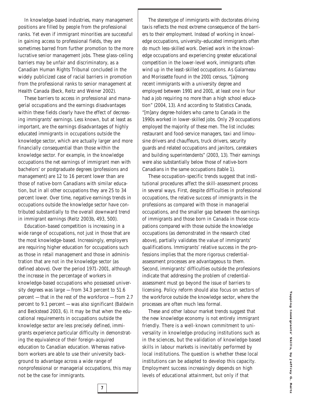In knowledge-based industries, many management positions are filled by people from the professional ranks. Yet even if immigrant minorities are successful in gaining access to professional fields, they are sometimes barred from further promotion to the more lucrative senior management jobs. These glass-ceiling barriers may be unfair and discriminatory, as a Canadian Human Rights Tribunal concluded in the widely publicized case of racial barriers in promotion from the professional ranks to senior management at Health Canada (Beck, Reitz and Weiner 2002).

These barriers to access in professional and managerial occupations and the earnings disadvantages within these fields clearly have the effect of decreasing immigrants' earnings. Less known, but at least as important, are the earnings disadvantages of highly educated immigrants in occupations *outside* the knowledge sector, which are actually larger and more financially consequential than those within the knowledge sector. For example, in the knowledge occupations the net earnings of immigrant men with bachelors' or postgraduate degrees (professions and management) are 12 to 16 percent lower than are those of native-born Canadians with similar education, but in all other occupations they are 25 to 34 percent lower. Over time, negative earnings trends in occupations outside the knowledge sector have contributed substantially to the overall downward trend in immigrant earnings (Reitz 2003b, 493, 500).

Education-based competition is increasing in a wide range of occupations, not just in those that are the most knowledge-based. Increasingly, employers are requiring higher education for occupations such as those in retail management and those in administration that are not in the knowledge sector (as defined above). Over the period 1971-2001, although the increase in the percentage of workers in knowledge-based occupations who possessed university degrees was large — from 34.3 percent to 51.6 percent — that in the rest of the workforce — from 2.7 percent to 9.1 percent — was also significant (Baldwin and Beckstead 2003, 6). It may be that when the educational requirements in occupations outside the knowledge sector are less precisely defined, immigrants experience particular difficulty in demonstrating the equivalence of their foreign-acquired education to Canadian education. Whereas nativeborn workers are able to use their university background to advantage across a wide range of nonprofessional or managerial occupations, this may not be the case for immigrants.

The stereotype of immigrants with doctorates driving taxis reflects the most extreme consequence of the barriers to their employment. Instead of working in knowledge occupations, university-educated immigrants often do much less-skilled work. Denied work in the knowledge occupations and experiencing greater educational competition in the lower-level work, immigrants often wind up in the least-skilled occupations. As Galarneau and Morissette found in the 2001 census, "[a]mong recent immigrants with a university degree and employed between 1991 and 2001, at least one in four had a job requiring no more than a high school education" (2004, 13). And according to Statistics Canada, "[m]any degree-holders who came to Canada in the 1990s worked in lower-skilled jobs. Only 29 occupations employed the majority of these men. The list includes: restaurant and food-service managers, taxi and limousine drivers and chauffeurs, truck drivers, security guards and related occupations and janitors, caretakers and building superintendents" (2003, 13). Their earnings were also substantially below those of native-born Canadians in the same occupations (table 1).

These occupation-specific trends suggest that institutional procedures affect the skill-assessment process in several ways. First, despite difficulties in professional occupations, the relative success of immigrants in the professions as compared with those in managerial occupations, and the smaller gap between the earnings of immigrants and those born in Canada in those occupations compared with those outside the knowledge occupations (as demonstrated in the research cited above), partially validates the value of immigrants' qualifications. Immigrants' relative success in the professions implies that the more rigorous credentialassessment processes are advantageous to them. Second, immigrants' difficulties outside the professions indicate that addressing the problem of credentialassessment must go beyond the issue of barriers to licensing. Policy reform should also focus on sectors of the workforce outside the knowledge sector, where the processes are often much less formal.

These and other labour market trends suggest that the new knowledge economy is not entirely immigrant friendly. There is a well-known commitment to universality in knowledge-producing institutions such as in the sciences, but the validation of knowledge-based skills in labour markets is inevitably performed by local institutions. The question is whether these local institutions can be adapted to develop this capacity. Employment success increasingly depends on high levels of educational attainment, but only if that

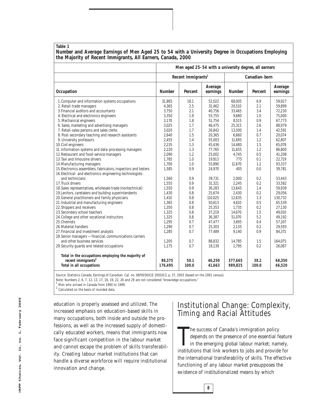#### **Table 1**

**Number and Average Earnings of Men Aged 25 to 54 with a University Degree in Occupations Employing the Majority of Recent Immigrants, All Earners, Canada, 2000** 

|                                                                                                                                                                                                                                                                                                                                                                                                                                                                                                                                                                                                                                                                                                                                                                                                                                                                                                                                                                                                                                                                                                                                                                                                                                                                                                               | Men aged 25-54 with a university degree, all earners                                                                                                                                                                                                               |                                                                                                                                                                                                          |                                                                                                                                                                                                                                                                                                 |                                                                                                                                                                                                                                                                             |                                                                                                                                                                                                         |                                                                                                                                                                                                                                                                                                  |
|---------------------------------------------------------------------------------------------------------------------------------------------------------------------------------------------------------------------------------------------------------------------------------------------------------------------------------------------------------------------------------------------------------------------------------------------------------------------------------------------------------------------------------------------------------------------------------------------------------------------------------------------------------------------------------------------------------------------------------------------------------------------------------------------------------------------------------------------------------------------------------------------------------------------------------------------------------------------------------------------------------------------------------------------------------------------------------------------------------------------------------------------------------------------------------------------------------------------------------------------------------------------------------------------------------------|--------------------------------------------------------------------------------------------------------------------------------------------------------------------------------------------------------------------------------------------------------------------|----------------------------------------------------------------------------------------------------------------------------------------------------------------------------------------------------------|-------------------------------------------------------------------------------------------------------------------------------------------------------------------------------------------------------------------------------------------------------------------------------------------------|-----------------------------------------------------------------------------------------------------------------------------------------------------------------------------------------------------------------------------------------------------------------------------|---------------------------------------------------------------------------------------------------------------------------------------------------------------------------------------------------------|--------------------------------------------------------------------------------------------------------------------------------------------------------------------------------------------------------------------------------------------------------------------------------------------------|
|                                                                                                                                                                                                                                                                                                                                                                                                                                                                                                                                                                                                                                                                                                                                                                                                                                                                                                                                                                                                                                                                                                                                                                                                                                                                                                               | Recent immigrants <sup>1</sup>                                                                                                                                                                                                                                     |                                                                                                                                                                                                          |                                                                                                                                                                                                                                                                                                 | Canadian-born                                                                                                                                                                                                                                                               |                                                                                                                                                                                                         |                                                                                                                                                                                                                                                                                                  |
| Occupation                                                                                                                                                                                                                                                                                                                                                                                                                                                                                                                                                                                                                                                                                                                                                                                                                                                                                                                                                                                                                                                                                                                                                                                                                                                                                                    | Number                                                                                                                                                                                                                                                             | Percent                                                                                                                                                                                                  | Average<br>earnings                                                                                                                                                                                                                                                                             | Number                                                                                                                                                                                                                                                                      | Percent                                                                                                                                                                                                 | Average<br>earnings                                                                                                                                                                                                                                                                              |
| 1. Computer and information systems occupations<br>2. Retail-trade managers<br>3. Financial auditors and accountants<br>4. Electrical and electronics engineers<br>5. Mechanical engineers<br>6. Sales, marketing and advertising managers<br>7. Retail-sales persons and sales clerks<br>8. Post-secondary teaching and research assistants<br>9. University professors<br>10. Civil engineers<br>11. Information systems and data-processing managers<br>12. Restaurant and food-service managers<br>13. Taxi and limousine drivers<br>14. Manufacturing managers<br>15. Electronics assemblers, fabricators, inspectors and testers<br>16. Electrical- and electronics-engineering technologists<br>and technicians<br>17. Truck drivers<br>18. Sales representatives, wholesale trade (nontechnical)<br>19. Janitors, caretakers and building superintendents<br>20. General practitioners and family physicians<br>21. Industrial and manufacturing engineers<br>22. Shippers and receivers<br>23. Secondary school teachers<br>24. College and other vocational instructors<br>25. Chemists<br>26. Material handlers<br>27. Financial and investment analysts<br>28. Senior managers - financial, communications carriers<br>and other business services<br>29. Security guards and related occupations | 31,865<br>4,365<br>3,750<br>3,350<br>3,170<br>3,025<br>3,020<br>2,640<br>2,455<br>2,235<br>2,220<br>2,090<br>1,785<br>1,700<br>1,585<br>1,560<br>1,555<br>1,550<br>1,430<br>1,410<br>1,365<br>1,350<br>1,325<br>1.325<br>1,295<br>1,290<br>1.285<br>1,205<br>1,175 | 18.1<br>2.5<br>2.1<br>1.9<br>1.8<br>1.7<br>1.7<br>1.5<br>1.4<br>1.3<br>1.3<br>1.2<br>1.0<br>1.0<br>0.9<br>0.9<br>0.9<br>0.9<br>0.8<br>0.8<br>0.8<br>0.8<br>0.8<br>0.8<br>0.7<br>0.7<br>0.7<br>0.7<br>0.7 | 52,022<br>31,462<br>40,756<br>55.755<br>51,754<br>46,475<br>26,842<br>20,365<br>55,003<br>45,436<br>77,765<br>25,002<br>19,913<br>55,890<br>24,970<br>39,731<br>31,321<br>36,283<br>25,674<br>110.025<br>50,613<br>25,353<br>37,219<br>36.387<br>47,477<br>25,303<br>77.489<br>88,832<br>18,139 | 68,005<br>20,510<br>33,465<br>9.680<br>8,515<br>25,315<br>13,500<br>6,660<br>11,695<br>14,480<br>11,655<br>4.745<br>775<br>11.670<br>405<br>2,000<br>2,245<br>13,645<br>2,430<br>12,635<br>4,610<br>1,735<br>14.670<br>51,070<br>3,695<br>2,135<br>9.140<br>14,785<br>1,795 | 6.9<br>2.1<br>3.4<br>1.0<br>0.9<br>2.6<br>1.4<br>0.7<br>1.2<br>1.5<br>1.2<br>0.5<br>0.1<br>1.2<br>0.0<br>0.2<br>0.2<br>1.4<br>0.2<br>1.3<br>0.5<br>0.2<br>1.5<br>5.2<br>0.4<br>0.2<br>0.9<br>1.5<br>0.2 | 59,927<br>59,899<br>72,230<br>75.000<br>67,773<br>88,979<br>42,591<br>20,074<br>62,807<br>65,078<br>86,800<br>41,208<br>22,719<br>93.337<br>39,781<br>53,443<br>33.582<br>59,939<br>29,056<br>130,732<br>65,539<br>27,130<br>49.010<br>49.192<br>57,107<br>29,593<br>84,371<br>164,075<br>26,087 |
| Total in the occupations employing the majority of<br>recent immigrants <sup>2</sup><br>Total in all occupations                                                                                                                                                                                                                                                                                                                                                                                                                                                                                                                                                                                                                                                                                                                                                                                                                                                                                                                                                                                                                                                                                                                                                                                              | 88,375<br>176,495                                                                                                                                                                                                                                                  | 50.1<br>100.0                                                                                                                                                                                            | 46,250<br>41,663                                                                                                                                                                                                                                                                                | 377,665<br>989,825                                                                                                                                                                                                                                                          | 38.2<br>100.0                                                                                                                                                                                           | 68,350<br>66,520                                                                                                                                                                                                                                                                                 |

Source: Statistics Canada, *Earnings of Canadian*. Cat. no. 96F0030X1E 2001013, p. 37, 2003 (based on the 2001 census).

Note: Numbers 2, 6, 7, 12, 13, 17, 18, 19, 22, 26 and 29 are not considered "knowledge occupations."

<sup>1</sup> Men who arrived in Canada from 1990 to 1999.

Calculated on the basis of rounded data.

education is properly assessed and utilized. The increased emphasis on education-based skills in many occupations, both inside and outside the professions, as well as the increased supply of domestically educated workers, means that immigrants now face significant competition in the labour market and cannot escape the problem of skills transferability. Creating labour market institutions that can handle a diverse workforce will require institutional innovation and change.

### Institutional Change: Complexity, Timing and Racial Attitudes

The success of Canada's immigration policy<br>depends on the presence of one essential feature<br>in the emerging global labour market; namely,<br>institutions that link workers to jobs and provide for he success of Canada's immigration policy depends on the presence of one essential feature in the emerging global labour market; namely, the international transferability of skills. The effective functioning of any labour market presupposes the existence of institutionalized means by which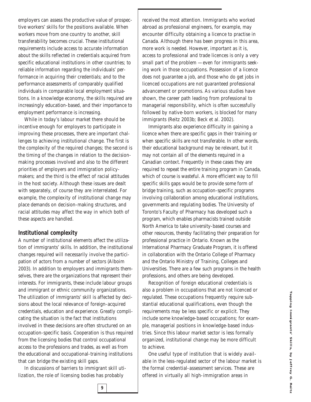employers can assess the productive value of prospective workers' skills for the positions available. When workers move from one country to another, skill transferability becomes crucial. These institutional requirements include access to accurate information about the skills reflected in credentials acquired from specific educational institutions in other countries; to reliable information regarding the individuals' performance in acquiring their credentials; and to the performance assessments of comparably qualified individuals in comparable local employment situations. In a knowledge economy, the skills required are increasingly education-based, and their importance to employment performance is increasing.

While in today's labour market there should be incentive enough for employers to participate in improving these processes, there are important challenges to achieving institutional change. The first is the complexity of the required changes; the second is the timing of the changes in relation to the decisionmaking processes involved and also to the different priorities of employers and immigration policymakers; and the third is the effect of racial attitudes in the host society. Although these issues are dealt with separately, of course they are interrelated. For example, the complexity of institutional change may place demands on decision-making structures, and racial attitudes may affect the way in which both of these aspects are handled.

#### **Institutional complexity**

A number of institutional elements affect the utilization of immigrants' skills. In addition, the institutional changes required will necessarily involve the participation of actors from a number of sectors (Alboim 2003). In addition to employers and immigrants themselves, there are the organizations that represent their interests. For immigrants, these include labour groups and immigrant or ethnic community organizations. The utilization of immigrants' skill is affected by decisions about the local relevance of foreign-acquired credentials, education and experience. Greatly complicating the situation is the fact that institutions involved in these decisions are often structured on an occupation-specific basis. Cooperation is thus required from the licensing bodies that control occupational access to the professions and trades, as well as from the educational and occupational-training institutions that can bridge the existing skill gaps.

In discussions of barriers to immigrant skill utilization, the role of licensing bodies has probably

**9**

received the most attention. Immigrants who worked abroad as professional engineers, for example, may encounter difficulty obtaining a licence to practise in Canada. Although there has been progress in this area, more work is needed. However, important as it is, access to professional and trade licences is only a very small part of the problem — even for immigrants seeking work in those occupations. Possession of a licence does not guarantee a job, and those who do get jobs in licenced occupations are not guaranteed professional advancement or promotions. As various studies have shown, the career path leading from professional to managerial responsibility, which is often successfully followed by native-born workers, is blocked for many immigrants (Reitz 2003b; Beck et al. 2002).

Immigrants also experience difficulty in gaining a licence when there are specific gaps in their training or when specific skills are not transferable. In other words, their educational background may be relevant, but it may not contain all of the elements required in a Canadian context. Frequently in these cases they are required to repeat the entire training program in Canada, which of course is wasteful. A more efficient way to fill specific skills gaps would be to provide some form of bridge training, such as occupation-specific programs involving collaboration among educational institutions, governments and regulating bodies. The University of Toronto's Faculty of Pharmacy has developed such a program, which enables pharmacists trained outside North America to take university-based courses and other resources, thereby facilitating their preparation for professional practice in Ontario. Known as the International Pharmacy Graduate Program, it is offered in collaboration with the Ontario College of Pharmacy and the Ontario Ministry of Training, Colleges and Universities. There are a few such programs in the health professions, and others are being developed.

Recognition of foreign educational credentials is also a problem in occupations that are not licenced or regulated. These occupations frequently require substantial educational qualifications, even though the requirements may be less specific or explicit. They include some knowledge-based occupations; for example, managerial positions in knowledge-based industries. Since this labour market sector is less formally organized, institutional change may be more difficult to achieve.

One useful type of institution that is widely available in the less-regulated sector of the labour market is the formal credential-assessment services. These are offered in virtually all high-immigration areas in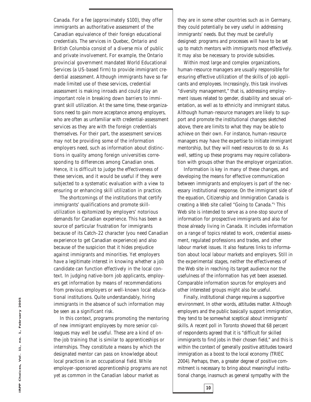Canada. For a fee (approximately \$100), they offer immigrants an authoritative assessment of the Canadian equivalence of their foreign educational credentials. The services in Quebec, Ontario and British Columbia consist of a diverse mix of public and private involvement. For example, the Ontario provincial government mandated World Educational Services (a US-based firm) to provide immigrant credential assessment. Although immigrants have so far made limited use of these services, credential assessment is making inroads and could play an important role in breaking down barriers to immigrant skill utilization. At the same time, these organizations need to gain more acceptance among employers, who are often as unfamiliar with credential-assessment services as they are with the foreign credentials themselves. For their part, the assessment services may not be providing some of the information employers need, such as information about distinctions in quality among foreign universities corresponding to differences among Canadian ones. Hence, it is difficult to judge the effectiveness of these services, and it would be useful if they were subjected to a systematic evaluation with a view to ensuring or enhancing skill utilization in practice.

The shortcomings of the institutions that certify immigrants' qualifications and promote skillutilization is epitomized by employers' notorious demands for Canadian experience. This has been a source of particular frustration for immigrants because of its Catch-22 character (you need Canadian experience to get Canadian experience) and also because of the suspicion that it hides prejudice against immigrants and minorities. Yet employers have a legitimate interest in knowing whether a job candidate can function effectively in the local context. In judging native-born job applicants, employers get information by means of recommendations from previous employers or well-known local educational institutions. Quite understandably, hiring immigrants in the absence of such information may be seen as a significant risk.

In this context, programs promoting the mentoring of new immigrant employees by more senior colleagues may well be useful. These are a kind of onthe-job training that is similar to apprenticeships or internships. They constitute a means by which the designated mentor can pass on knowledge about local practices in an occupational field. While employer-sponsored apprenticeship programs are not yet as common in the Canadian labour market as

they are in some other countries such as in Germany, they could potentially be very useful in addressing immigrants' needs. But they must be carefully designed: programs and processes will have to be set up to match mentors with immigrants most effectively. It may also be necessary to provide subsidies.

Within most large and complex organizations, human-resource managers are usually responsible for ensuring effective utilization of the skills of job applicants and employees. Increasingly, this task involves "diversity management," that is, addressing employment issues related to gender, disability and sexual orientation, as well as to ethnicity and immigrant status. Although human-resource managers are likely to support and promote the institutional changes sketched above, there are limits to what they may be able to achieve on their own. For instance, human-resource managers may have the expertise to initiate immigrant mentorship, but they will need resources to do so. As well, setting up these programs may require collaboration with groups other than the employer organization.

Information is key in many of these changes, and developing the means for effective communication between immigrants and employers is part of the necessary institutional response. On the immigrant side of the equation, Citizenship and Immigration Canada is creating a Web site called "Going to Canada."3 This Web site is intended to serve as a one-stop source of information for prospective immigrants and also for those already living in Canada. It includes information on a range of topics related to work, credential assessment, regulated professions and trades, and other labour market issues. It also features links to information about local labour markets and employers. Still in the experimental stages, neither the effectiveness of the Web site in reaching its target audience nor the usefulness of the information has yet been assessed. Comparable information sources for employers and other interested groups might also be useful.

Finally, institutional change requires a supportive environment. In other words, attitudes matter. Although employers and the public basically support immigration, they tend to be somewhat sceptical about immigrants' skills. A recent poll in Toronto showed that 68 percent of respondents agreed that it is "difficult for skilled immigrants to find jobs in their chosen field," and this is within the context of generally positive attitudes toward immigration as a boost to the local economy (TRIEC 2004). Perhaps, then, a greater degree of positive commitment is necessary to bring about meaningful institutional change, inasmuch as general sympathy with the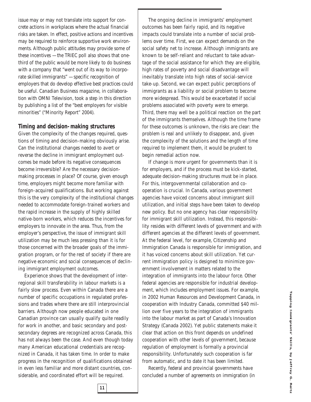issue may or may not translate into support for concrete actions in workplaces where the actual financial risks are taken. In effect, positive actions and incentives may be required to reinforce supportive work environments. Although public attitudes may provide some of these incentives — the TRIEC poll also shows that onethird of the public would be more likely to do business with a company that "went out of its way to incorporate skilled immigrants" — specific recognition of employers that do develop effective best practices could be useful. *Canadian Business* magazine*,* in collaboration with OMNI Television, took a step in this direction by publishing a list of the "best employers for visible minorities" ("Minority Report" 2004).

#### **Timing and decision-making structures**

Given the complexity of the changes required, questions of timing and decision-making obviously arise. Can the institutional changes needed to avert or reverse the decline in immigrant employment outcomes be made before its negative consequences become irreversible? Are the necessary decisionmaking processes in place? Of course, given enough time, employers might become more familiar with foreign-acquired qualifications. But working against this is the very complexity of the institutional changes needed to accommodate foreign-trained workers and the rapid increase in the supply of highly skilled native-born workers, which reduces the incentives for employers to innovate in the area. Thus, from the employer's perspective, the issue of immigrant skill utilization may be much less pressing than it is for those concerned with the broader goals of the immigration program, or for the rest of society if there are negative economic and social consequences of declining immigrant employment outcomes.

Experience shows that the development of interregional skill transferability in labour markets is a fairly slow process. Even within Canada there are a number of specific occupations in regulated professions and trades where there are still interprovincial barriers. Although now people educated in one Canadian province can usually qualify quite readily for work in another, and basic secondary and postsecondary degrees are recognized across Canada, this has not always been the case. And even though today many American educational credentials are recognized in Canada, it has taken time. In order to make progress in the recognition of qualifications obtained in even less familiar and more distant countries, considerable, and coordinated effort will be required.

**11**

The ongoing decline in immigrants' employment outcomes has been fairly rapid, and its negative impacts could translate into a number of social problems over time. First, we can expect demands on the social safety net to increase. Although immigrants are known to be self-reliant and reluctant to take advantage of the social assistance for which they are eligible, high rates of poverty and social disadvantage will inevitably translate into high rates of social-service take-up. Second, we can expect public perceptions of immigrants as a liability or social problem to become more widespread. This would be exacerbated if social problems associated with poverty were to emerge. Third, there may well be a political reaction on the part of the immigrants themselves. Although the time frame for these outcomes is unknown, the risks are clear: the problem is real and unlikely to disappear, and, given the complexity of the solutions and the length of time required to implement them, it would be prudent to begin remedial action now.

If change is more urgent for governments than it is for employers, and if the process must be kick-started, adequate decision-making structures must be in place. For this, intergovernmental collaboration and cooperation is crucial. In Canada, various government agencies have voiced concerns about immigrant skill utilization, and initial steps have been taken to develop new policy. But no one agency has clear responsibility for immigrant skill utilization. Instead, this responsibility resides with different levels of government and with different agencies at the different levels of government. At the federal level, for example, Citizenship and Immigration Canada is responsible for immigration, and it has voiced concerns about skill utilization. Yet current immigration policy is designed to minimize government involvement in matters related to the integration of immigrants into the labour force. Other federal agencies are responsible for industrial development, which includes employment issues. For example, in 2002 Human Resources and Development Canada, in cooperation with Industry Canada, committed \$40 million over five years to the integration of immigrants into the labour market as part of Canada's Innovation Strategy (Canada 2002). Yet public statements make it clear that action on this front depends on undefined cooperation with other levels of government, because regulation of employment is formally a provincial responsibility. Unfortunately such cooperation is far from automatic, and to date it has been limited.

Recently, federal and provincial governments have concluded a number of agreements on immigration (in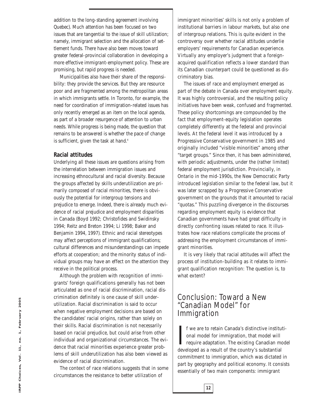addition to the long-standing agreement involving Quebec). Much attention has been focused on two issues that are tangential to the issue of skill utilization; namely, immigrant selection and the allocation of settlement funds. There have also been moves toward greater federal-provincial collaboration in developing a more effective immigrant-employment policy. These are promising, but rapid progress is needed.

Municipalities also have their share of the responsibility: they provide the services. But they are resource poor and are fragmented among the metropolitan areas in which immigrants settle. In Toronto, for example, the need for coordination of immigration-related issues has only recently emerged as an item on the local agenda, as part of a broader resurgence of attention to urban needs. While progress is being made, the question that remains to be answered is whether the pace of change is sufficient, given the task at hand.<sup>4</sup>

#### **Racial attitudes**

Underlying all these issues are questions arising from the interrelation between immigration issues and increasing ethnocultural and racial diversity. Because the groups affected by skills underutilization are primarily composed of racial minorities, there is obviously the potential for intergroup tensions and prejudice to emerge. Indeed, there is already much evidence of racial prejudice and employment disparities in Canada (Boyd 1992; Christofides and Swidinsky 1994; Reitz and Breton 1994; Li 1998; Baker and Benjamin 1994, 1997). Ethnic and racial stereotypes may affect perceptions of immigrant qualifications; cultural differences and misunderstandings can impede efforts at cooperation; and the minority status of individual groups may have an effect on the attention they receive in the political process.

Although the problem with recognition of immigrants' foreign qualifications generally has not been articulated as one of racial discrimination, racial discrimination definitely is one cause of skill underutilization. Racial discrimination is said to occur when negative employment decisions are based on the candidates' racial origins, rather than solely on their skills. Racial discrimination is not necessarily based on racial prejudice, but could arise from other individual and organizational circumstances. The evidence that racial minorities experience greater problems of skill underutilization has also been viewed as evidence of racial discrimination.

The context of race relations suggests that in some circumstances the resistance to better utilization of

immigrant minorities' skills is not only a problem of institutional barriers in labour markets, but also one of intergroup relations. This is quite evident in the controversy over whether racial attitudes underlie employers' requirements for Canadian experience. Virtually any employer's judgment that a foreignacquired qualification reflects a lower standard than its Canadian counterpart could be questioned as discriminatory bias.

The issues of race and employment emerged as part of the debate in Canada over employment equity. It was highly controversial, and the resulting policy initiatives have been weak, confused and fragmented. These policy shortcomings are compounded by the fact that employment-equity legislation operates completely differently at the federal and provincial levels. At the federal level it was introduced by a Progressive Conservative government in 1985 and originally included "visible minorities" among other "target groups." Since then, it has been administered, with periodic adjustments, under the (rather limited) federal employment jurisdiction. Provincially, in Ontario in the mid-1990s, the New Democratic Party introduced legislation similar to the federal law, but it was later scrapped by a Progressive Conservative government on the grounds that it amounted to racial "quotas." This puzzling divergence in the discourses regarding employment equity is evidence that Canadian governments have had great difficulty in directly confronting issues related to race. It illustrates how race relations complicate the process of addressing the employment circumstances of immigrant minorities.

It is very likely that racial attitudes will affect the process of institution-building as it relates to immigrant qualification recognition: The question is, to what extent?

#### Conclusion: Toward a New "Canadian Model" for Immigration

**12**

I f we are to retain Canada's distinctive institudional model for immigration, that model will require adaptation. The existing Canadian model will developed as a result of the country's substantial f we are to retain Canada's distinctive institutional model for immigration, that model will require adaptation. The existing Canadian model commitment to immigration, which was dictated in part by geography and political economy. It consists essentially of two main components: immigrant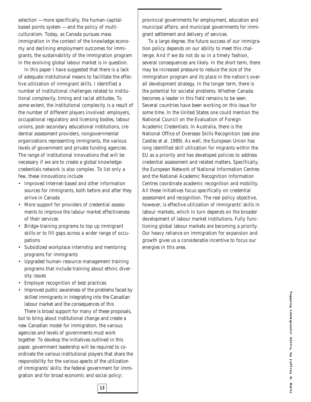selection — more specifically, the human-capitalbased points system — and the policy of multiculturalism. Today, as Canada pursues mass immigration in the context of the knowledge economy and declining employment outcomes for immigrants, the sustainability of the immigration program in the evolving global labour market is in question.

In this paper I have suggested that there is a lack of adequate institutional means to facilitate the effective utilization of immigrant skills. I identified a number of institutional challenges related to institutional complexity, timing and racial attitudes. To some extent, the institutional complexity is a result of the number of different players involved: employers, occupational regulatory and licensing bodies, labour unions, post-secondary educational institutions, credential assessment providers, nongovernmental organizations representing immigrants, the various levels of government and private funding agencies. The range of institutional innovations that will be necessary if we are to create a global knowledgecredentials network is also complex. To list only a few, these innovations include

- Improved Internet-based and other information sources for immigrants, both before and after they arrive in Canada
- More support for providers of credential assessments to improve the labour market effectiveness of their services
- Bridge-training programs to top up immigrant skills or to fill gaps across a wider range of occupations
- Subsidized workplace internship and mentoring programs for immigrants
- Upgraded human-resource-management training programs that include training about ethnic diversity issues
- Employer recognition of best practices
- Improved public awareness of the problems faced by skilled immigrants in integrating into the Canadian labour market and the consequences of this

There is broad support for many of these proposals, but to bring about institutional change and create a new Canadian model for immigration, the various agencies and levels of governments must work together. To develop the initiatives outlined in this paper, government leadership will be required to coordinate the various institutional players that share the responsibility for the various apects of the utilization of immigrants' skills: the federal government for immigration and for broad economic and social policy;

provincial governments for employment, education and municipal affairs; and municipal governments for immigrant settlement and delivery of services.

To a large degree, the future success of our immigration policy depends on our ability to meet this challenge. And if we do not do so in a timely fashion, several consequences are likely. In the short term, there may be increased pressure to reduce the size of the immigration program and its place in the nation's overall development strategy. In the longer term, there is the potential for societal problems. Whether Canada becomes a leader in this field remains to be seen. Several countries have been working on this issue for some time. In the United States one could mention the National Council on the Evaluation of Foreign Academic Credentials. In Australia, there is the National Office of Overseas Skills Recognition (see also Castles et al. 1989). As well, the European Union has long identified skill utilization for migrants within the EU as a priority and has developed policies to address credential assessment and related matters. Specifically, the European Network of National Information Centres and the National Academic Recognition Information Centres coordinate academic recognition and mobility. All these initiatives focus specifically on credential assessment and recognition. The real policy objective, however, is effective utilization of immigrants' skills in labour markets, which in turn depends on the broader development of labour market institutions. Fully functioning global labour markets are becoming a priority. Our heavy reliance on immigration for expansion and growth gives us a considerable incentive to focus our energies in this area.

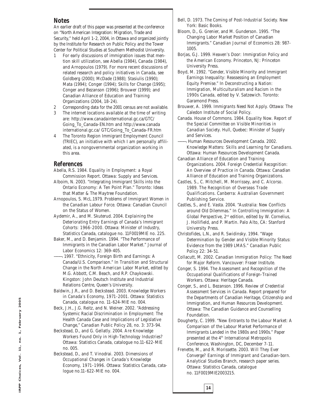#### **Notes**

An earlier draft of this paper was presented at the conference on "North American Integration: Migration, Trade and Security," held April 1-2, 2004, in Ottawa and organized jointly by the Institute for Research on Public Policy and the Tower Center for Political Studies at Southern Methodist University.

- 1 For early discussions of immigration issues that mention skill utilization, see Abella (1984), Canada (1984), and Arnopoulos (1979). For more recent discussions of related research and policy initiatives in Canada, see Goldberg (2000); McDade (1988); Stasiulis (1990); Mata (1994); Conger (1994); Skills for Change (1995); Conger and Bezanson (1996); Brouwer (1999); and Canadian Alliance of Education and Training Organizations (2004, 18-24).
- 2 Corresponding data for the 2001 census are not available.
- 3 The internet locations available at the time of writing are: http://www.canadainternational.gc.ca/GTC/ Going\_To\_Canada-EN.htm and http://www.canada international.gc.ca/ GTC/Going\_To\_Canada-FR.htm
- 4 The Toronto Region Immigrant Employment Council (TRIEC), an initiative with which I am personally affiliated, is a nongovernmental organization working in this area.

#### **References**

- Abella, R.S. 1984. *Equality in Employment: a Royal Commission Report*. Ottawa: Supply and Services.
- Alboim, N. 2003. "Integrating Immigrant Skills into the Ontario Economy: A Ten Point Plan." Toronto: Ideas that Matter & The Maytree Foundation.
- Arnopoulos, S. McL.1979. *Problems of Immigrant Women in the Canadian Labour Force*. Ottawa: Canadian Council on the Status of Women.
- Aydemir, A., and M. Skuterud. 2004. *Explaining the Deteriorating Entry Earnings of Canada's Immigrant Cohorts: 1966-2000*. Ottawa: Minister of Industry, Statistics Canada, catalogue no. 11F0019MIE no. 225.
- Baker, M., and D. Benjamin. 1994. "The Performance of Immigrants in the Canadian Labor Market." *Journal of Labor Economics* 12: 369-405.
- ———. 1997. "Ethnicity, Foreign Birth and Earnings: A Canada/U.S. Comparison." In *Transition and Structural Change in the North American Labor Market*, edited by M.G. Abbott, C.M. Beach, and R.P. Chaykowski. Kingston: John Deutsch Institute and Industrial Relations Centre, Queen's University.
- Baldwin, J.R., and D. Beckstead. 2003. *Knowledge Workers in Canada's Economy, 1971-2001*. Ottawa: Statistics Canada, catalogue no. 11-624-MIE no. 004.
- Beck, J.H., J.G. Reitz, and N. Weiner. 2002. "Addressing Systemic Racial Discrimination in Employment: The Health Canada Case and Implications of Legislative Change," *Canadian Public Policy* 28, no. 3: 373-94.
- Beckstead, D., and G. Gellatly. 2004. *Are Knowledge Workers Found Only in High-Technology Industries?* Ottawa: Statistics Canada, catalogue no.11-622-MIE no. 005.
- Beckstead, D., and T. Vinodrai. 2003. *Dimensions of Occupational Changes in Canada's Knowledge Economy, 1971-1996*. Ottawa: Statistics Canada, catalogue no.11-622-MIE no. 004.
- Bell, D. 1973. *The Coming of Post-Industrial Society.* New York: Basic Books.
- Bloom, D., G. Grenier, and M. Gunderson. 1995. "The Changing Labor Market Position of Canadian Immigrants." *Canadian Journal of Economics* 28: 987- 1005.
- Borjas, G.J. 1999. *Heaven's Door: Immigration Policy and the American Economy*. Princeton, NJ: Princeton University Press.
- Boyd, M. 1992. "Gender, Visible Minority and Immigrant Earnings Inequality: Reassessing an Employment Equity Premise." In *Deconstructing a Nation: Immigration, Multiculturalism and Racism in the 1990s Canada,* edited by V. Satzewich. Toronto: Garamond Press.
- Brouwer, A. 1999. *Immigrants Need Not Apply.* Ottawa: The Caledon Institute of Social Policy.
- Canada. House of Commons. 1984. *Equality Now. Report of the Special Committee on Visible Minorities in Canadian Society*. Hull, Quebec: Minister of Supply and Services.
- ———. Human Resources Development Canada. 2002. *Knowledge Matters: Skills and Learning for Canadians.* Ottawa: Human Resources Development Canada.
- Canadian Alliance of Education and Training Organizations. 2004. *Foreign Credential Recognition: An Overview of Practice in Canada*. Ottawa: Canadian Alliance of Education and Training Organizations.
- Castles, S., C. Mitchell, M. Morrissey, and C. Alcorso. 1989. *The Recognition of Overseas Trade Qualifications*. Canberra: Australian Government Publishing Service.
- Castles, S., and E. Vasta. 2004. "Australia: New Conflicts around Old Dilemmas." In *Controlling Immigration: A Global Perspective*, 2nd edition, edited by W. Cornelius, J. Hollifield, and P. Martin. Palo Alto, CA: Stanford University Press.
- Christofides, L.N., and R. Swidinsky. 1994. "Wage Determination by Gender and Visible Minority Status: Evidence from the 1989 LMAS." *Canadian Public Policy* 22: 34-51.
- Collacutt, M. 2002. *Canadian Immigration Policy: The Need for Major Reform*. Vancouver: Fraser Institute.
- Conger, S. 1994. *The Assessment and Recognition of the Occupational Qualifications of Foreign-Trained Workers*. Ottawa: Heritage Canada.
- Conger, S., and L. Bezanson. 1996. *Review of Credential Assessment Services in Canada*. Report prepared for the Departments of Canadian Heritage, Citizenship and Immigration, and Human Resources Development. Ottawa: The Canadian Guidance and Counselling Foundation.
- Dougherty, C. 1999. "New Entrants to the Labour Market: A Comparison of the Labour Market Performance of Immigrants Landed in the 1980s and 1990s." Paper presented at the 4<sup>th</sup> International Metropolis Conference, Washington, DC, December 7-11.
- Frenette, M., and R. Morissette. 2003. *Will They Ever Converge? Earnings of Immigrant and Canadian-born*. Analytical Studies Branch, research paper series. Ottawa: Statistics Canada, catalogue no. 11F0019MIE2003215.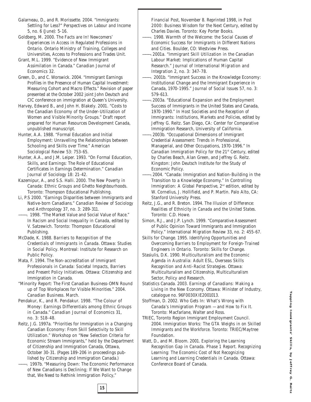Galarneau, D., and R. Morissette. 2004. "Immigrants: Settling for Less?" *Perspectives on Labour and Income* 5, no. 6 (June): 5-16.

Goldberg, M. 2000. *The Facts are In! Newcomers' Experiences in Access in Regulated Professions in Ontario.* Ontario Ministry of Training, Colleges and Universities, Access to Professions and Trades Unit.

Grant, M.L. 1999. "Evidence of New Immigrant Assimilation in Canada." *Canadian Journal of Economics* 32.

Green, D., and C. Worswick. 2004. "Immigrant Earnings Profiles in the Presence of Human Capital Investment: Measuring Cohort and Macro Effects." Revision of paper presented at the October 2002 joint John Deutsch and CIC conference on immigration at Queen's University.

Harvey, Edward B., and John H. Blakely. 2001. "Costs to the Canadian Economy of the Under-Utilization of Women and Visible Minority Groups." Draft report prepared for Human Resources Development Canada, unpublished manuscript.

Hunter, A.A. 1988. "Formal Education and Initial Employment: Unravelling the Relationships between Schooling and Skills over Time." *American Sociological Review* 53: 753-65.

Hunter, A.A., and J.M. Leiper. 1993. "On Formal Education, Skills, and Earnings: The Role of Educational Certificates in Earnings Determination." *Canadian Journal of Sociology* 18: 21-42.

Kazemipur, A., and S.S. Halli. 2000. *The New Poverty in Canada: Ethnic Groups and Ghetto Neighbourhoods*. Toronto: Thompson Educational Publishing.

Li, P.S 2000. "Earnings Disparities between Immigrants and Native-born Canadians." *Canadian Review of Sociology and Anthropology* 37, no. 3: 289-311.

-. 1998. "The Market Value and Social Value of Race." In *Racism and Social Inequality in Canada*, edited by V. Satzewich. Toronto: Thompson Educational Publishing.

McDade, K. 1988. *Barriers to Recognition of the Credentials of Immigrants in Canada*. Ottawa: Studies in Social Policy. Montreal: Institute for Research on Public Policy.

Mata, F. 1994. *The Non-accreditation of Immigrant Professionals in Canada: Societal Impacts, Barriers and Present Policy Initiatives.* Ottawa: Citizenship and Immigration in Canada.

"Minority Report: The First Canadian Business-OMN Round up of Top Workplaces for Visible Minorities." 2004. *Canadian Business*. March.

Pendakur, K., and R. Pendakur. 1998. "The Colour of Money: Earnings Differentials among Ethnic Groups in Canada." *Canadian Journal of Economics* 31, no. 3: 518-48.

Reitz, J.G. 1997a. "Priorities for Immigration in a Changing Canadian Economy: From Skill Selectivity to Skill Utilization." Workshop on "New Selection Criteria for Economic Stream Immigrants," held by the Department of Citizenship and Immigration Canada, Ottawa, October 30-31. (Pages 189-206 in proceedings published by Citizenship and Immigration Canada.)

. 1997b. "Measuring Down: The Economic Performance of New Canadians is Declining; If We Want to Change that, We Need to Rethink Immigration Policy,"

*Financial Post*, November 8. Reprinted 1998, in *Post 2000: Business Wisdom for the Next Century*, edited by Charles Davies. Toronto: Key Porter Books.

———. 1998. *Warmth of the Welcome: the Social Causes of Economic Success for Immigrants in Different Nations and Cities.* Boulder, CO: Westview Press.

- -. 2001a. "Immigrant Skill Utilization in the Canadian Labour Market: Implications of Human Capital Research." *Journal of International Migration and Integration* 2, no. 3: 347-78.
- ———. 2001b. "Immigrant Success in the Knowledge Economy: Institutional Change and the Immigrant Experience in Canada, 1970-1995." *Journal of Social Issues* 57, no. 3: 579-613.
- -. 2003a. "Educational Expansion and the Employment Success of Immigrants in the United States and Canada, 1970-1990." In *Host Societies and the Reception of Immigrants: Institutions, Markets and Policies*, edited by Jeffrey G. Reitz. San Diego, CA: Center for Comparative Immigration Research, University of California.

———. 2003b. "Occupational Dimensions of Immigrant Credential Assessment: Trends in Professional, Managerial, and Other Occupations, 1970-1996." In *Canadian Immigration Policy for the 21st Century*, edited by Charles Beach, Alan Green, and Jeffrey G. Reitz. Kingston: John Deutsch Institute for the Study of Economic Policy.

-. 2004. "Canada: Immigration and Nation-Building in the Transition to a Knowledge Economy." In *Controlling Immigration: A Global Perspective*,  $2^{nd}$  edition, edited by W. Cornelius, J. Hollifield, and P. Martin. Palo Alto, CA: Stanford University Press.

Reitz, J.G., and R. Breton. 1994. *The Illusion of Difference: Realities of Ethnicity in Canada and the United States*. Toronto: C.D. Howe.

Simon, R.J., and J.P. Lynch. 1999. "Comparative Assessment of Public Opinion Toward Immigrants and Immigration Policy." *International Migration Review* 33, no. 2: 455-67.

Skills for Change. 1995. *Identifying Opportunities and Overcoming Barriers to Employment for Foreign-Trained Engineers in Ontario.* Toronto: Skills for Change.

Stasiulis, D.K. 1990. *Multiculturalism and the Economic Agenda in Australia: Adult ESL, Overseas Skills Recognition and Anti-Racist Strategies.* Ottawa: Multiculturalism and Citizenship, Multiculturalism Sector, Policy and Research.

Statistics Canada. 2003. *Earnings of Canadians: Making a Living in the New Economy*. Ottawa: Minister of Industry, catalogue no. 96F0030XIE2001013.

Stoffman, D. 2002. *Who Gets In: What's Wrong with Canada's Immigration Program — and How to Fix It*. Toronto: Macfarlane, Walter and Ross.

TRIEC, Toronto Region Immigrant Employment Council. 2004. *Immigration Works: The GTA Weighs in on Skilled Immigrants and the Workforce*. Toronto: TRIEC/Maytree Foundation.

Watt, D., and M. Bloom. 2001. *Exploring the Learning Recognition Gap in Canada. Phase 1 Report. Recognizing Learning: The Economic Cost of Not Recognizing Learning and Learning Credentials in Canada.* Ottawa: Conference Board of Canada.

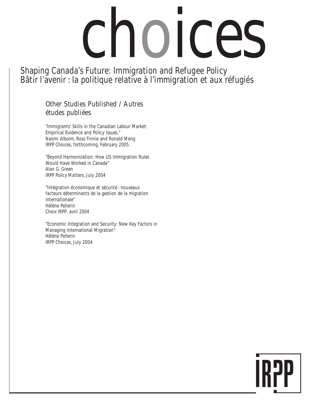# choices

Shaping Canada's Future: Immigration and Refugee Policy Bâtir l'avenir : la politique relative à l'immigration et aux réfugiés

#### Other Studies Published / Autres études publiées

"Immigrants' Skills in the Canadian Labour Market: Empirical Evidence and Policy Issues." Naomi Alboim, Ross Finnie and Ronald Meng *IRPP Choices*, forthcoming, February 2005.

"Beyond Harmonization: How US Immigration Rules Would Have Worked in Canada" Alan G. Green *IRPP Policy Matters*, July 2004

"Intégration économique et sécurité : nouveaux facteurs déterminants de la gestion de la migration internationale" Hélène Pellerin *Choix IRPP*, avril 2004

"Economic Integration and Security: New Key Factors in Managing International Migration" Hélène Pellerin *IRPP Choices*, July 2004

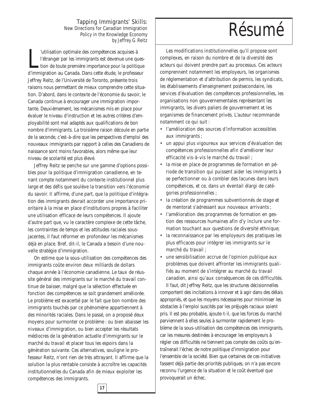New Directions for Canadian Immigration Policy in the Knowledge Economy *by Jeffrey G. Reitz* 

University des compétences acquises à l'étranger par les immigrants est devenue une ques tion de toute première importance pour la politique d'immigration au Canada. Dans cette étude, le professeur 'utilisation optimale des compétences acquises à l'étranger par les immigrants est devenue une question de toute première importance pour la politique Jeffrey Reitz, de l'Université de Toronto, présente trois raisons nous permettant de mieux comprendre cette situation. D'abord, dans le contexte de l'économie du savoir, le Canada continue à encourager une immigration importante. Deuxièmement, les mécanismes mis en place pour évaluer le niveau d'instruction et les autres critères d'employabilité sont mal adaptés aux qualifications de bon nombre d'immigrants. La troisième raison découle en partie de la seconde, c'est-à-dire que les perspectives d'emploi des nouveaux immigrants par rapport à celles des Canadiens de naissance sont moins favorables, alors même que leur niveau de scolarité est plus élevé.

Jeffrey Reitz se penche sur une gamme d'options possibles pour la politique d'immigration canadienne, en tenant compte notamment du contexte institutionnel plus large et des défis que soulève la transition vers l'économie du savoir. Il affirme, d'une part, que la politique d'intégration des immigrants devrait accorder une importance prioritaire à la mise en place d'institutions propres à faciliter une utilisation efficace de leurs compétences. Il ajoute d'autre part que, vu le caractère complexe de cette tâche, les contraintes de temps et les attitudes raciales sousjacentes, il faut réformer en profondeur les mécanismes déjà en place. Bref, dit-il, le Canada a besoin d'une nouvelle stratégie d'immigration.

On estime que la sous-utilisation des compétences des immigrants coûte environ deux milliards de dollars chaque année à l'économie canadienne. Le taux de réussite général des immigrants sur le marché du travail continue de baisser, malgré que la sélection effectuée en fonction des compétences se soit grandement améliorée. Le problème est exacerbé par le fait que bon nombre des immigrants touchés par ce phénomène appartiennent à des minorités raciales. Dans le passé, on a proposé deux moyens pour surmonter ce problème : ou bien abaisser les niveaux d'immigration, ou bien accepter les résultats médiocres de la génération actuelle d'immigrants sur le marché du travail et placer tous les espoirs dans la génération suivante. Ces alternatives, souligne le professeur Reitz, n'ont rien de très attrayant. Il affirme que la solution la plus rentable consiste à accroître les capacités institutionnelles du Canada afin de mieux exploiter les compétences des immigrants.

## Tapping Immigrants' Skills:<br>Directions for Canadian Immigration<br>Policy in the Knowledge Economy

Les modifications institutionnelles qu'il propose sont complexes, en raison du nombre et de la diversité des acteurs qui doivent prendre part au processus. Ces acteurs comprennent notamment les employeurs, les organismes de réglementation et d'attribution de permis, les syndicats, les établissements d'enseignement postsecondaire, les services d'évaluation des compétences professionnelles, les organisations non gouvernementales représentant les immigrants, les divers paliers de gouvernement et les organismes de financement privés. L'auteur recommande notamment ce qui suit :

- l'amélioration des sources d'information accessibles aux immigrants ;
- un appui plus vigoureux aux services d'évaluation des compétences professionnelles afin d'améliorer leur efficacité vis-à-vis le marché du travail ;
- la mise en place de programmes de formation en période de transition qui puissent aider les immigrants à se perfectionner ou à combler des lacunes dans leurs compétences, et ce, dans un éventail élargi de catégories professionnelles ;
- la création de programmes subventionnés de stage et de mentorat s'adressant aux nouveaux arrivants ;
- l'amélioration des programmes de formation en gestion des ressources humaines afin d'y inclure une formation touchant aux questions de diversité ethnique;
- la reconnaissance par les employeurs des pratiques les plus efficaces pour intégrer les immigrants sur le marché du travail ;
- une sensibilisation accrue de l'opinion publique aux problèmes que doivent affronter les immigrants qualifiés au moment de s'intégrer au marché du travail canadien, ainsi qu'aux conséquences de ces difficultés.

Il faut, dit Jeffrey Reitz, que les structures décisionnelles comportent des incitations à innover et à agir dans des délais appropriés, et que les moyens nécessaires pour minimiser les obstacles à l'emploi suscités par les préjugés raciaux soient pris. Il est peu probable, ajoute-t-il, que les forces du marché parviennent à elles seules à surmonter rapidement le problème de la sous-utilisation des compétences des immigrants, car les mesures destinées à encourager les employeurs à régler ces difficultés ne tiennent pas compte des coûts qu'entraînerait l'échec de notre politique d'immigration pour l'ensemble de la société. Bien que certaines de ces initiatives fassent déjà partie des priorités publiques, on n'a pas encore reconnu l'urgence de la situation et le coût éventuel que provoquerait un échec.